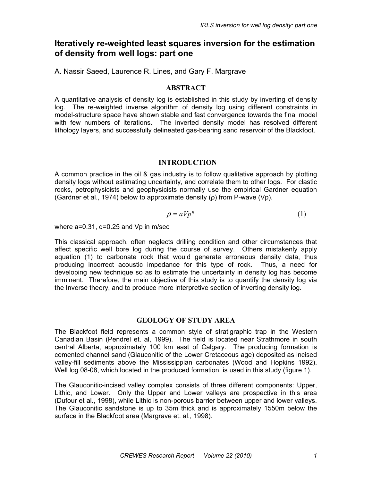# **Iteratively re-weighted least squares inversion for the estimation of density from well logs: part one**

A. Nassir Saeed, Laurence R. Lines, and Gary F. Margrave

### **ABSTRACT**

A quantitative analysis of density log is established in this study by inverting of density log. The re-weighted inverse algorithm of density log using different constraints in model-structure space have shown stable and fast convergence towards the final model with few numbers of iterations. The inverted density model has resolved different lithology layers, and successfully delineated gas-bearing sand reservoir of the Blackfoot.

### **INTRODUCTION**

A common practice in the oil & gas industry is to follow qualitative approach by plotting density logs without estimating uncertainty, and correlate them to other logs. For clastic rocks, petrophysicists and geophysicists normally use the empirical Gardner equation (Gardner et al., 1974) below to approximate density (ρ) from P-wave (Vp).

$$
\rho = aVp^q \tag{1}
$$

where a=0.31, q=0.25 and Vp in m/sec

This classical approach, often neglects drilling condition and other circumstances that affect specific well bore log during the course of survey. Others mistakenly apply equation (1) to carbonate rock that would generate erroneous density data, thus producing incorrect acoustic impedance for this type of rock. Thus, a need for developing new technique so as to estimate the uncertainty in density log has become imminent. Therefore, the main objective of this study is to quantify the density log via the Inverse theory, and to produce more interpretive section of inverting density log.

### **GEOLOGY OF STUDY AREA**

The Blackfoot field represents a common style of stratigraphic trap in the Western Canadian Basin (Pendrel et. al, 1999). The field is located near Strathmore in south central Alberta, approximately 100 km east of Calgary. The producing formation is cemented channel sand (Glauconitic of the Lower Cretaceous age) deposited as incised valley-fill sediments above the Mississippian carbonates (Wood and Hopkins 1992). Well log 08-08, which located in the produced formation, is used in this study (figure 1).

The Glauconitic-incised valley complex consists of three different components: Upper, Lithic, and Lower. Only the Upper and Lower valleys are prospective in this area (Dufour et al., 1998), while Lithic is non-porous barrier between upper and lower valleys. The Glauconitic sandstone is up to 35m thick and is approximately 1550m below the surface in the Blackfoot area (Margrave et. al., 1998).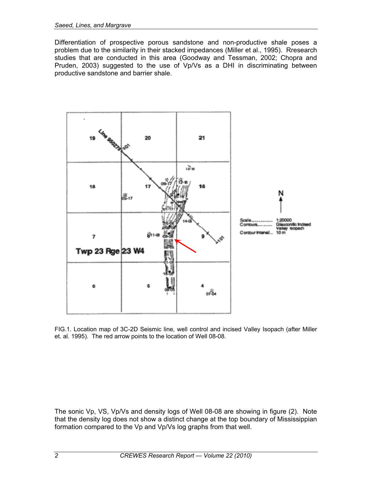Differentiation of prospective porous sandstone and non-productive shale poses a problem due to the similarity in their stacked impedances (Miller et al., 1995). Rresearch studies that are conducted in this area (Goodway and Tessman, 2002; Chopra and Pruden, 2003) suggested to the use of Vp/Vs as a DHI in discriminating between productive sandstone and barrier shale.



FIG.1. Location map of 3C-2D Seismic line, well control and incised Valley Isopach (after Miller et. al. 1995). The red arrow points to the location of Well 08-08.

The sonic Vp, VS, Vp/Vs and density logs of Well 08-08 are showing in figure (2). Note that the density log does not show a distinct change at the top boundary of Mississippian formation compared to the Vp and Vp/Vs log graphs from that well.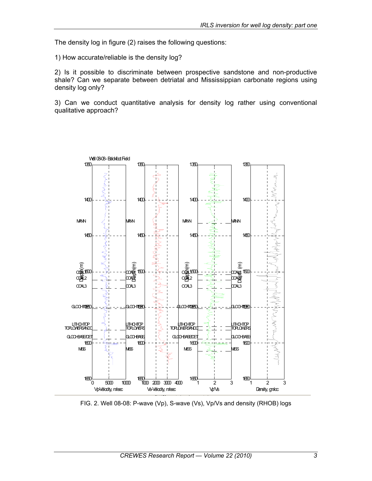The density log in figure (2) raises the following questions:

1) How accurate/reliable is the density log?

2) Is it possible to discriminate between prospective sandstone and non-productive shale? Can we separate between detriatal and Mississippian carbonate regions using density log only?

3) Can we conduct quantitative analysis for density log rather using conventional qualitative approach?



FIG. 2. Well 08-08: P-wave (Vp), S-wave (Vs), Vp/Vs and density (RHOB) logs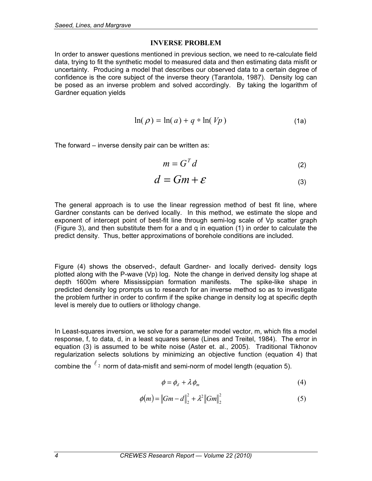#### **INVERSE PROBLEM**

In order to answer questions mentioned in previous section, we need to re-calculate field data, trying to fit the synthetic model to measured data and then estimating data misfit or uncertainty. Producing a model that describes our observed data to a certain degree of confidence is the core subject of the inverse theory (Tarantola, 1987). Density log can be posed as an inverse problem and solved accordingly. By taking the logarithm of Gardner equation yields

$$
\ln(\rho) = \ln(a) + q * \ln(Vp)
$$
 (1a)

The forward – inverse density pair can be written as:

$$
m = G^T d \tag{2}
$$

$$
d = Gm + \varepsilon \tag{3}
$$

The general approach is to use the linear regression method of best fit line, where Gardner constants can be derived locally. In this method, we estimate the slope and exponent of intercept point of best-fit line through semi-log scale of Vp scatter graph (Figure 3), and then substitute them for a and q in equation (1) in order to calculate the predict density. Thus, better approximations of borehole conditions are included.

Figure (4) shows the observed-, default Gardner- and locally derived- density logs plotted along with the P-wave (Vp) log. Note the change in derived density log shape at depth 1600m where Mississippian formation manifests. The spike-like shape in predicted density log prompts us to research for an inverse method so as to investigate the problem further in order to confirm if the spike change in density log at specific depth level is merely due to outliers or lithology change.

In Least-squares inversion, we solve for a parameter model vector, m, which fits a model response, f, to data, d, in a least squares sense (Lines and Treitel, 1984). The error in equation (3) is assumed to be white noise (Aster et. al., 2005). Traditional Tikhonov regularization selects solutions by minimizing an objective function (equation 4) that combine the  $\ell_2$  norm of data-misfit and semi-norm of model length (equation 5).

$$
\phi = \phi_d + \lambda \phi_m \tag{4}
$$

$$
\phi(m) = ||Gm - d||_2^2 + \lambda^2 ||Gm||_2^2
$$
\n(5)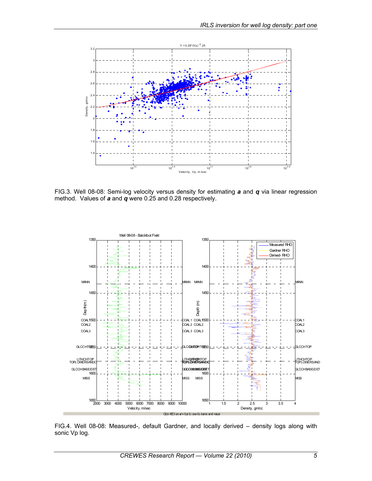

FIG.3. Well 08-08: Semi-log velocity versus density for estimating *a* and *q* via linear regression method. Values of *a* and *q* were 0.25 and 0.28 respectively.



FIG.4. Well 08-08: Measured-, default Gardner, and locally derived – density logs along with sonic Vp log.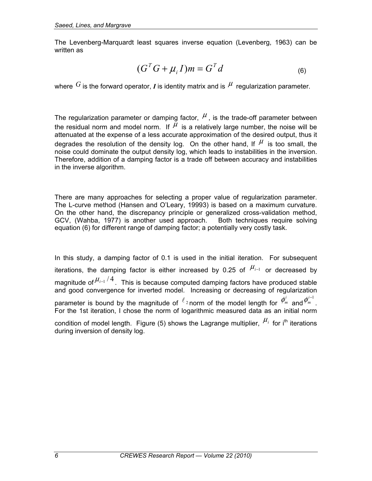The Levenberg-Marquardt least squares inverse equation (Levenberg, 1963) can be written as

$$
(GTG + \mu_i I)m = GTd
$$
 (6)

where  $G$  is the forward operator, *I* is identity matrix and is  $\mu$  regularization parameter.

The regularization parameter or damping factor,  $\mu$ , is the trade-off parameter between the residual norm and model norm. If  $\mu$  is a relatively large number, the noise will be attenuated at the expense of a less accurate approximation of the desired output, thus it degrades the resolution of the density log. On the other hand, If  $\mu$  is too small, the noise could dominate the output density log, which leads to instabilities in the inversion. Therefore, addition of a damping factor is a trade off between accuracy and instabilities in the inverse algorithm.

There are many approaches for selecting a proper value of regularization parameter. The L-curve method (Hansen and O'Leary, 19993) is based on a maximum curvature. On the other hand, the discrepancy principle or generalized cross-validation method, GCV, (Wahba, 1977) is another used approach. Both techniques require solving equation (6) for different range of damping factor; a potentially very costly task.

In this study, a damping factor of 0.1 is used in the initial iteration. For subsequent iterations, the damping factor is either increased by 0.25 of  $\mu_{i-1}$  or decreased by magnitude of  $\mu_{i-1}/4$ . This is because computed damping factors have produced stable and good convergence for inverted model. Increasing or decreasing of regularization parameter is bound by the magnitude of  $\ell_2$  norm of the model length for  $\phi_m^i$  and  $\phi_m^{i-1}$ . For the 1st iteration, I chose the norm of logarithmic measured data as an initial norm condition of model length. Figure (5) shows the Lagrange multiplier,  $\mu_i$  for i<sup>th</sup> iterations during inversion of density log.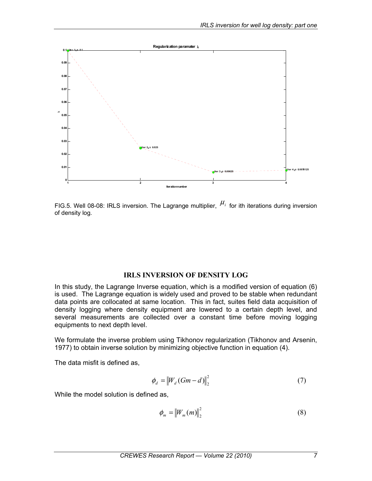

FIG.5. Well 08-08: IRLS inversion. The Lagrange multiplier,  $\mu_i$  for ith iterations during inversion of density log.

### **IRLS INVERSION OF DENSITY LOG**

In this study, the Lagrange Inverse equation, which is a modified version of equation (6) is used. The Lagrange equation is widely used and proved to be stable when redundant data points are collocated at same location. This in fact, suites field data acquisition of density logging where density equipment are lowered to a certain depth level, and several measurements are collected over a constant time before moving logging equipments to next depth level.

We formulate the inverse problem using Tikhonov regularization (Tikhonov and Arsenin, 1977) to obtain inverse solution by minimizing objective function in equation (4).

The data misfit is defined as,

$$
\phi_d = \left\| W_d \left( Gm - d \right) \right\|_2^2 \tag{7}
$$

While the model solution is defined as,

$$
\phi_m = \left\| W_m(m) \right\|_2^2 \tag{8}
$$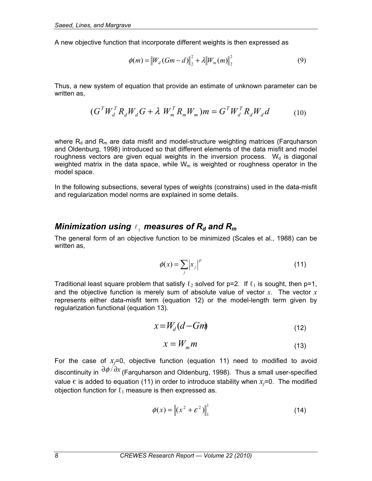A new objective function that incorporate different weights is then expressed as

$$
\phi(m) = \|W_d(Gm - d)\|_2^2 + \lambda \|W_m(m)\|_2^2 \tag{9}
$$

Thus, a new system of equation that provide an estimate of unknown parameter can be written as.

$$
(G^T W_d^T R_d W_d G + \lambda W_m^T R_m W_m) m = G^T W_d^T R_d W_d d \qquad (10)
$$

where  $R_d$  and  $R_m$  are data misfit and model-structure weighting matrices (Farquharson and Oldenburg, 1998) introduced so that different elements of the data misfit and model roughness vectors are given equal weights in the inversion process.  $W<sub>d</sub>$  is diagonal weighted matrix in the data space, while  $W_m$  is weighted or roughness operator in the model space.

In the following subsections, several types of weights (constrains) used in the data-misfit and regularization model norms are explained in some details.

## *Minimization using*  $\ell_1$  measures of  $R_d$  and  $R_m$

The general form of an objective function to be minimized (Scales et al., 1988) can be written as,

$$
\phi(x) = \sum_{j} \left| x_{j} \right|^{p} \tag{11}
$$

Traditional least square problem that satisfy  $\ell_2$  solved for p=2. If  $\ell_1$  is sought, then p=1, and the objective function is merely sum of absolute value of vector *x*. The vector *x* represents either data-misfit term (equation 12) or the model-length term given by regularization functional (equation 13).

$$
x = W_d (d - Gm) \tag{12}
$$

$$
x = W_m m \tag{13}
$$

For the case of  $x_i=0$ , objective function (equation 11) need to modified to avoid discontinuity in ∂<sup>φ</sup> / ∂*x* (Farquharson and Oldenburg, 1998). Thus a small user-specified value  $\epsilon$  is added to equation (11) in order to introduce stability when  $x_i$ =0. The modified objection function for  $\ell_1$  measure is then expressed as.

$$
\phi(x) = \left\| (x^2 + \varepsilon^2) \right\|_1^1 \tag{14}
$$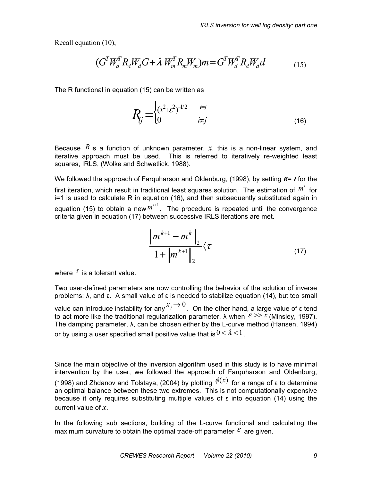Recall equation (10),

$$
(GTWdTRdWdG + \lambda WmTRmWm)m = GTWdTRdWdd
$$
 (15)

The R functional in equation (15) can be written as

$$
R_j = \begin{cases} (x^2 + \varepsilon^2)^{-1/2} & \text{if } j \\ 0 & \text{if } j \end{cases} \tag{16}
$$

Because  $R$  is a function of unknown parameter,  $x$ , this is a non-linear system, and iterative approach must be used. This is referred to iteratively re-weighted least squares, IRLS, (Wolke and Schwetlick, 1988).

We followed the approach of Farquharson and Oldenburg, (1998), by setting *R*= *I* for the first iteration, which result in traditional least squares solution. The estimation of  $m^i$  for i=1 is used to calculate R in equation (16), and then subsequently substituted again in equation (15) to obtain a new  $m^{i+1}$ . The procedure is repeated until the convergence criteria given in equation (17) between successive IRLS iterations are met.

$$
\frac{\left\|m^{k+1} - m^k\right\|_2}{1 + \left\|m^{k+1}\right\|_2} \langle \tau \tag{17}
$$

where  $\tau$  is a tolerant value.

Two user-defined parameters are now controlling the behavior of the solution of inverse problems: λ, and ε. A small value of ε is needed to stabilize equation (14), but too small value can introduce instability for any  $x_j \to 0$ . On the other hand, a large value of ε tend to act more like the traditional regularization parameter,  $\lambda$  when  $\epsilon \gg x$  (Minsley, 1997). The damping parameter, λ, can be chosen either by the L-curve method (Hansen, 1994) or by using a user specified small positive value that is  $0 < \lambda < 1$ .

Since the main objective of the inversion algorithm used in this study is to have minimal intervention by the user, we followed the approach of Farquharson and Oldenburg, (1998) and Zhdanov and Tolstaya, (2004) by plotting  $\phi(x)$  for a range of ε to determine an optimal balance between these two extremes. This is not computationally expensive because it only requires substituting multiple values of  $\epsilon$  into equation (14) using the current value of *x*.

In the following sub sections, building of the L-curve functional and calculating the maximum curvature to obtain the optimal trade-off parameter  $\varepsilon$  are given.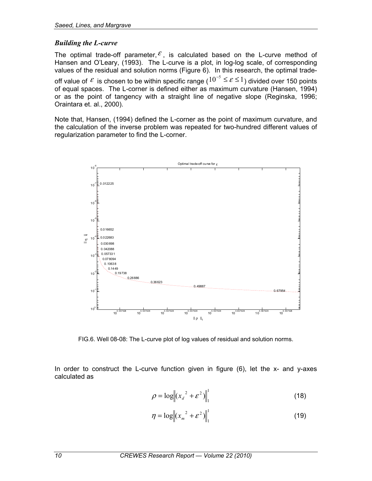### *Building the L-curve*

The optimal trade-off parameter,  $\mathcal{E}$ , is calculated based on the L-curve method of Hansen and O'Leary, (1993). The L-curve is a plot, in log-log scale, of corresponding values of the residual and solution norms (Figure 6). In this research, the optimal trade-

off value of  $\mathcal E$  is chosen to be within specific range  $(10^{-5} \le \mathcal E \le 1)$  divided over 150 points of equal spaces. The L-corner is defined either as maximum curvature (Hansen, 1994) or as the point of tangency with a straight line of negative slope (Reginska, 1996; Oraintara et. al., 2000).

Note that, Hansen, (1994) defined the L-corner as the point of maximum curvature, and the calculation of the inverse problem was repeated for two-hundred different values of regularization parameter to find the L-corner.



FIG.6. Well 08-08: The L-curve plot of log values of residual and solution norms.

In order to construct the L-curve function given in figure (6), let the x- and y-axes calculated as

$$
\rho = \log \| (x_a^2 + \varepsilon^2) \|_1^1 \tag{18}
$$

$$
\eta = \log \| (x_m^2 + \varepsilon^2) \|_1^1 \tag{19}
$$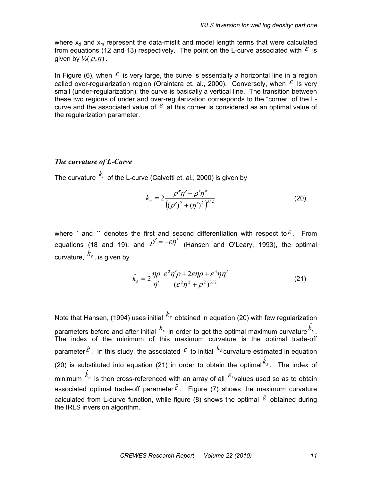where  $x_d$  and  $x_m$  represent the data-misfit and model length terms that were calculated from equations (12 and 13) respectively. The point on the L-curve associated with  $\epsilon$  is given by  $\frac{1}{2}(\rho,\eta)$ .

In Figure (6), when  $\mathcal E$  is very large, the curve is essentially a horizontal line in a region called over-regularization region (Oraintara et. al., 2000). Conversely, when  $\epsilon$  is very small (under-regularization), the curve is basically a vertical line. The transition between these two regions of under and over-regularization corresponds to the "corner" of the Lcurve and the associated value of  $\mathcal E$  at this corner is considered as an optimal value of the regularization parameter.

# *The curvature of L-Curve*

The curvature  $k_{\epsilon}$  of the L-curve (Calvetti et. al., 2000) is given by

$$
k_{\varepsilon} = 2 \frac{\rho'' \eta' - \rho' \eta''}{\left( (\rho')^2 + (\eta')^2 \right)^{3/2}}
$$
 (20)

where  $\epsilon$  and  $\epsilon$  denotes the first and second differentiation with respect to  $\epsilon$ . From equations (18 and 19), and  $\rho' = -\varepsilon \eta'$  (Hansen and O'Leary, 1993), the optimal curvature,  $k_{\varepsilon}$ , is given by

$$
\hat{k}_{\varepsilon} = 2 \frac{\eta \rho}{\eta'} \frac{\varepsilon^2 \eta' \rho + 2 \varepsilon \eta \rho + \varepsilon^4 \eta \eta'}{(\varepsilon^2 \eta^2 + \rho^2)^{3/2}}
$$
(21)

Note that Hansen, (1994) uses initial  $k_{\varepsilon}$  obtained in equation (20) with few regularization parameters before and after initial  $k_{\varepsilon}$  in order to get the optimal maximum curvature  $\hat{k}_{\varepsilon}$ . The index of the minimum of this maximum curvature is the optimal trade-off parameter  $\hat{\epsilon}$ . In this study, the associated  $\epsilon$  to initial  $k_{\epsilon}$  curvature estimated in equation (20) is substituted into equation (21) in order to obtain the optimal  $\hat{k}_\varepsilon$ . The index of minimum  $\hat{k}_{\varepsilon}$  is then cross-referenced with an array of all  $\mathcal{E}_{i}$  values used so as to obtain associated optimal trade-off parameter $\hat{\epsilon}$ . Figure (7) shows the maximum curvature calculated from L-curve function, while figure (8) shows the optimal  $\hat{\varepsilon}$  obtained during the IRLS inversion algorithm.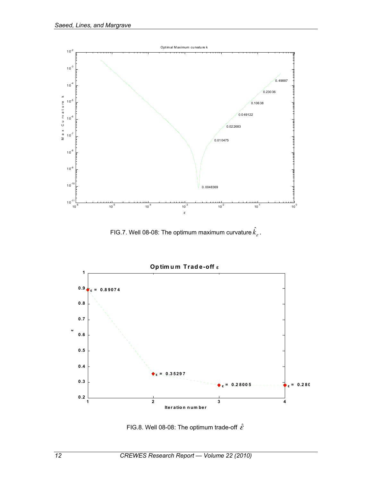

FIG.7. Well 08-08: The optimum maximum curvature  $\hat{k}_\varepsilon^{}$  .



FIG.8. Well 08-08: The optimum trade-off  $\hat{\varepsilon}$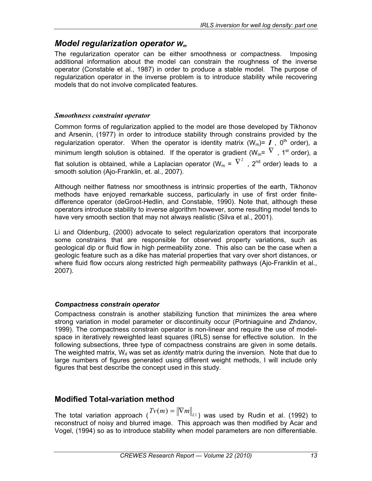# *Model regularization operator Wm*

The regularization operator can be either smoothness or compactness. Imposing additional information about the model can constrain the roughness of the inverse operator (Constable et al., 1987) in order to produce a stable model. The purpose of regularization operator in the inverse problem is to introduce stability while recovering models that do not involve complicated features.

### *Smoothness constraint operator*

Common forms of regularization applied to the model are those developed by Tikhonov and Arsenin, (1977) in order to introduce stability through constrains provided by the regularization operator. When the operator is identity matrix  $(W_m) = I$ ,  $0^{th}$  order), a minimum length solution is obtained. If the operator is gradient ( $W_m = \nabla$ , 1<sup>st</sup> order), a flat solution is obtained, while a Laplacian operator (W<sub>m</sub> =  $\nabla^2$  , 2<sup>nd</sup> order) leads to a smooth solution (Ajo-Franklin, et. al., 2007).

Although neither flatness nor smoothness is intrinsic properties of the earth, Tikhonov methods have enjoyed remarkable success, particularly in use of first order finitedifference operator (deGroot-Hedlin, and Constable, 1990). Note that, although these operators introduce stability to inverse algorithm however, some resulting model tends to have very smooth section that may not always realistic (Silva et al., 2001).

Li and Oldenburg, (2000) advocate to select regularization operators that incorporate some constrains that are responsible for observed property variations, such as geological dip or fluid flow in high permeability zone. This also can be the case when a geologic feature such as a dike has material properties that vary over short distances, or where fluid flow occurs along restricted high permeability pathways (Ajo-Franklin et al., 2007).

### *Compactness constrain operator*

Compactness constrain is another stabilizing function that minimizes the area where strong variation in model parameter or discontinuity occur (Portniaguine and Zhdanov, 1999). The compactness constrain operator is non-linear and require the use of modelspace in iteratively reweighted least squares (IRLS) sense for effective solution. In the following subsections, three type of compactness constrains are given in some details. The weighted matrix, W<sub>d</sub> was set as *identity* matrix during the inversion. Note that due to large numbers of figures generated using different weight methods, I will include only figures that best describe the concept used in this study.

# **Modified Total-variation method**

The total variation approach ( $Tv(m) = ||\nabla m||_{L_1}$ ) was used by Rudin et al. (1992) to reconstruct of noisy and blurred image. This approach was then modified by Acar and Vogel, (1994) so as to introduce stability when model parameters are non differentiable.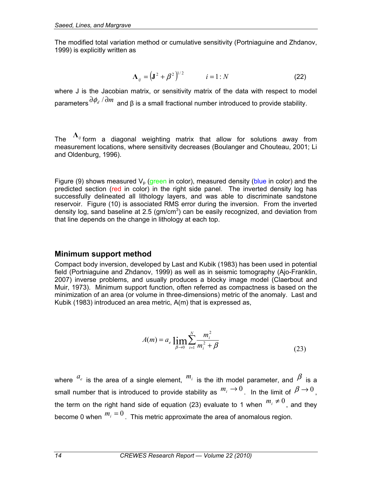The modified total variation method or cumulative sensitivity (Portniaguine and Zhdanov, 1999) is explicitly written as

$$
\Lambda_{ij} = \left(\mathbf{J}^2 + \boldsymbol{\beta}^2\right)^{1/2} \qquad i = 1:N \tag{22}
$$

where J is the Jacobian matrix, or sensitivity matrix of the data with respect to model parameters  $\frac{\partial \phi_d}{\partial m}$  and β is a small fractional number introduced to provide stability.

The **Λ***ij* form a diagonal weighting matrix that allow for solutions away from measurement locations, where sensitivity decreases (Boulanger and Chouteau, 2001; Li and Oldenburg, 1996).

Figure (9) shows measured  $V_p$  (green in color), measured density (blue in color) and the predicted section (red in color) in the right side panel. The inverted density log has successfully delineated all lithology layers, and was able to discriminate sandstone reservoir. Figure (10) is associated RMS error during the inversion. From the inverted density log, sand baseline at 2.5 ( $gm/cm<sup>3</sup>$ ) can be easily recognized, and deviation from that line depends on the change in lithology at each top.

## **Minimum support method**

Compact body inversion, developed by Last and Kubik (1983) has been used in potential field (Portniaguine and Zhdanov, 1999) as well as in seismic tomography (Ajo-Franklin, 2007) inverse problems, and usually produces a blocky image model (Claerbout and Muir, 1973). Minimum support function, often referred as compactness is based on the minimization of an area (or volume in three-dimensions) metric of the anomaly. Last and Kubik (1983) introduced an area metric, A(m) that is expressed as,

$$
A(m) = a_e \lim_{\beta \to 0} \sum_{i=1}^{N} \frac{m_i^2}{m_i^2 + \beta}
$$
 (23)

where  $a_e$  is the area of a single element,  $m_i$  is the ith model parameter, and  $\beta$  is a small number that is introduced to provide stability as  $m_i \to 0$ . In the limit of  $\beta \to 0$ , the term on the right hand side of equation (23) evaluate to 1 when  $m_i \neq 0$ , and they become 0 when  $m_i = 0$ . This metric approximate the area of anomalous region.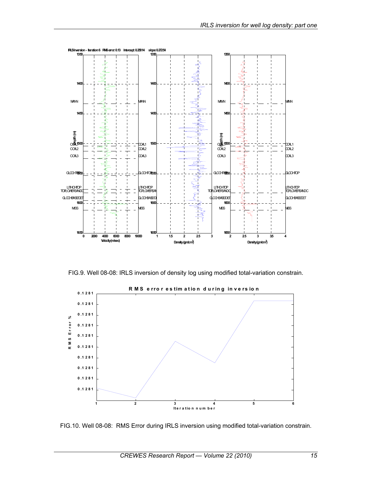

FIG.9. Well 08-08: IRLS inversion of density log using modified total-variation constrain.



FIG.10. Well 08-08: RMS Error during IRLS inversion using modified total-variation constrain.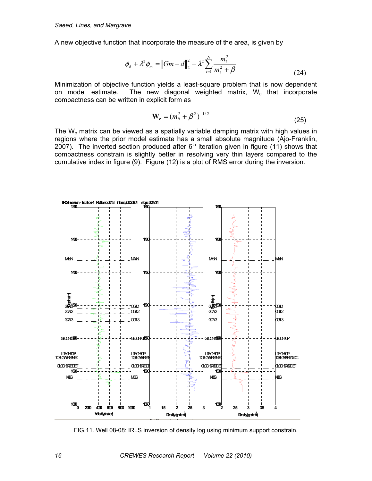A new objective function that incorporate the measure of the area, is given by

$$
\phi_d + \lambda^2 \phi_m = ||Gm - d||_2^2 + \lambda^2 \sum_{i=1}^N \frac{m_i^2}{m_i^2 + \beta}
$$
\n(24)

Minimization of objective function yields a least-square problem that is now dependent<br>on model estimate. The new diagonal weighted matrix. We that incorporate The new diagonal weighted matrix,  $W_c$  that incorporate compactness can be written in explicit form as

$$
\mathbf{W}_{\rm c} = (m_{ii}^2 + \beta^2)^{-1/2} \tag{25}
$$

The  $W_c$  matrix can be viewed as a spatially variable damping matrix with high values in regions where the prior model estimate has a small absolute magnitude (Ajo-Franklin,  $2007$ ). The inverted section produced after  $6<sup>th</sup>$  iteration given in figure (11) shows that compactness constrain is slightly better in resolving very thin layers compared to the cumulative index in figure (9). Figure (12) is a plot of RMS error during the inversion.



FIG.11. Well 08-08: IRLS inversion of density log using minimum support constrain.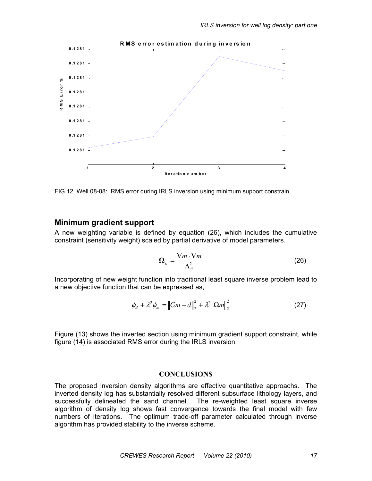

FIG.12. Well 08-08: RMS error during IRLS inversion using minimum support constrain.

## **Minimum gradient support**

A new weighting variable is defined by equation (26), which includes the cumulative constraint (sensitivity weight) scaled by partial derivative of model parameters.

$$
\Omega_{ii} = \frac{\nabla m \cdot \nabla m}{\Lambda_{ii}^2} \tag{26}
$$

Incorporating of new weight function into traditional least square inverse problem lead to a new objective function that can be expressed as,

$$
\phi_d + \lambda^2 \phi_m = ||Gm - d||_2^2 + \lambda^2 ||\Omega m||_2^2
$$
 (27)

Figure (13) shows the inverted section using minimum gradient support constraint, while figure (14) is associated RMS error during the IRLS inversion.

### **CONCLUSIONS**

The proposed inversion density algorithms are effective quantitative approachs. The inverted density log has substantially resolved different subsurface lithology layers, and successfully delineated the sand channel. The re-weighted least square inverse algorithm of density log shows fast convergence towards the final model with few numbers of iterations. The optimum trade-off parameter calculated through inverse algorithm has provided stability to the inverse scheme.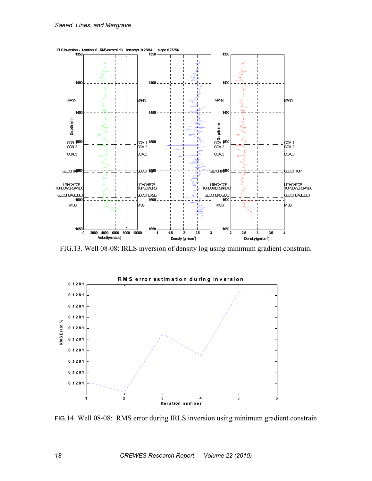

FIG.13. Well 08-08: IRLS inversion of density log using minimum gradient constrain.



FIG.14. Well 08-08: RMS error during IRLS inversion using minimum gradient constrain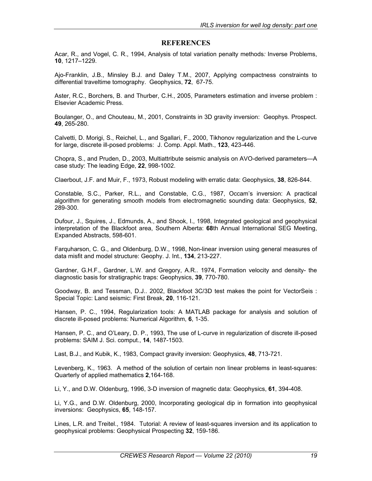#### **REFERENCES**

Acar, R., and Vogel, C. R., 1994, Analysis of total variation penalty methods*:* Inverse Problems, **10**, 1217–1229.

Ajo-Franklin, J.B., Minsley B.J. and Daley T.M., 2007, Applying compactness constraints to differential traveltime tomography. Geophysics, **72**, 67-75.

Aster, R.C., Borchers, B. and Thurber, C.H., 2005, Parameters estimation and inverse problem : Elsevier Academic Press.

Boulanger, O., and Chouteau, M., 2001, Constraints in 3D gravity inversion: Geophys. Prospect. **49**, 265-280.

Calvetti, D. Morigi, S., Reichel, L., and Sgallari, F., 2000, Tikhonov regularization and the L-curve for large, discrete ill-posed problems: J. Comp. Appl. Math., **123**, 423-446.

Chopra, S., and Pruden, D., 2003, Multiattribute seismic analysis on AVO-derived parameters—A case study: The leading Edge, **22**, 998-1002.

Claerbout, J.F. and Muir, F., 1973, Robust modeling with erratic data: Geophysics, **38**, 826-844.

Constable, S.C., Parker, R.L., and Constable, C.G., 1987, Occam's inversion: A practical algorithm for generating smooth models from electromagnetic sounding data: Geophysics, **52**, 289-300.

Dufour, J., Squires, J., Edmunds, A., and Shook, I., 1998, Integrated geological and geophysical interpretation of the Blackfoot area, Southern Alberta: **68**th Annual International SEG Meeting, Expanded Abstracts, 598-601.

Farquharson, C. G., and Oldenburg, D.W., 1998, Non-linear inversion using general measures of data misfit and model structure: Geophy. J. Int., **134**, 213-227.

Gardner, G.H.F., Gardner, L.W. and Gregory, A.R.. 1974, Formation velocity and density- the diagnostic basis for stratigraphic traps: Geophysics, **39**, 770-780.

Goodway, B. and Tessman, D.J.. 2002, Blackfoot 3C/3D test makes the point for VectorSeis : Special Topic: Land seismic: First Break, **20**, 116-121.

Hansen, P. C., 1994, Regularization tools: A MATLAB package for analysis and solution of discrete ill-posed problems: Numerical Algorithm, **6**, 1-35.

Hansen, P. C., and O'Leary, D. P., 1993, The use of L-curve in regularization of discrete ill-posed problems: SAIM J. Sci. comput., **14**, 1487-1503.

Last, B.J., and Kubik, K., 1983, Compact gravity inversion: Geophysics, **48**, 713-721.

Levenberg, K., 1963. A method of the solution of certain non linear problems in least-squares: Quarterly of applied mathematics **2**,164-168.

Li, Y., and D.W. Oldenburg, 1996, 3-D inversion of magnetic data: Geophysics, **61**, 394-408.

Li, Y.G., and D.W. Oldenburg, 2000, Incorporating geological dip in formation into geophysical inversions: Geophysics, **65**, 148-157.

Lines, L.R. and Treitel., 1984. Tutorial: A review of least-squares inversion and its application to geophysical problems: Geophysical Prospecting **32**, 159-186.